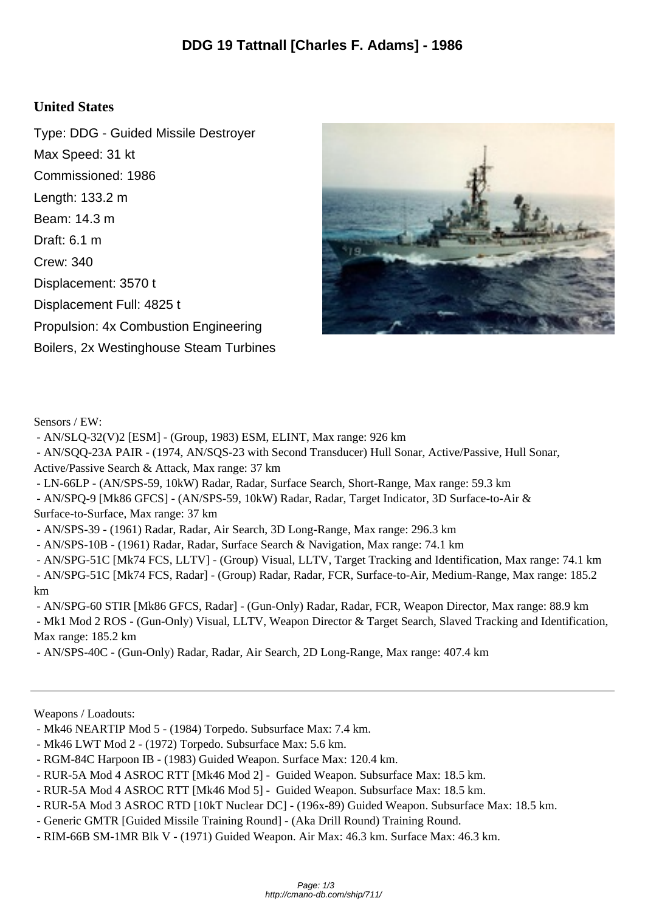## **United States**

Type: DDG - Guided Missile Destroyer Max Speed: 31 kt Commissioned: 1986 Length: 133.2 m Beam: 14.3 m Draft: 6.1 m Crew: 340 Displacement: 3570 t Displacement Full: 4825 t Propulsion: 4x Combustion Engineering Boilers, 2x Westinghouse Steam Turbines



Sensors / EW:

- AN/SLQ-32(V)2 [ESM] - (Group, 1983) ESM, ELINT, Max range: 926 km

 - AN/SQQ-23A PAIR - (1974, AN/SQS-23 with Second Transducer) Hull Sonar, Active/Passive, Hull Sonar, Active/Passive Search & Attack, Max range: 37 km

- LN-66LP - (AN/SPS-59, 10kW) Radar, Radar, Surface Search, Short-Range, Max range: 59.3 km

 - AN/SPQ-9 [Mk86 GFCS] - (AN/SPS-59, 10kW) Radar, Radar, Target Indicator, 3D Surface-to-Air & Surface-to-Surface, Max range: 37 km

- AN/SPS-39 - (1961) Radar, Radar, Air Search, 3D Long-Range, Max range: 296.3 km

- AN/SPS-10B - (1961) Radar, Radar, Surface Search & Navigation, Max range: 74.1 km

 - AN/SPG-51C [Mk74 FCS, LLTV] - (Group) Visual, LLTV, Target Tracking and Identification, Max range: 74.1 km - AN/SPG-51C [Mk74 FCS, Radar] - (Group) Radar, Radar, FCR, Surface-to-Air, Medium-Range, Max range: 185.2 km

 - AN/SPG-60 STIR [Mk86 GFCS, Radar] - (Gun-Only) Radar, Radar, FCR, Weapon Director, Max range: 88.9 km - Mk1 Mod 2 ROS - (Gun-Only) Visual, LLTV, Weapon Director & Target Search, Slaved Tracking and Identification, Max range: 185.2 km

- AN/SPS-40C - (Gun-Only) Radar, Radar, Air Search, 2D Long-Range, Max range: 407.4 km

Weapons / Loadouts:

- Mk46 NEARTIP Mod 5 (1984) Torpedo. Subsurface Max: 7.4 km.
- Mk46 LWT Mod 2 (1972) Torpedo. Subsurface Max: 5.6 km.
- RGM-84C Harpoon IB (1983) Guided Weapon. Surface Max: 120.4 km.
- RUR-5A Mod 4 ASROC RTT [Mk46 Mod 2] Guided Weapon. Subsurface Max: 18.5 km.
- RUR-5A Mod 4 ASROC RTT [Mk46 Mod 5] Guided Weapon. Subsurface Max: 18.5 km.
- RUR-5A Mod 3 ASROC RTD [10kT Nuclear DC] (196x-89) Guided Weapon. Subsurface Max: 18.5 km.
- Generic GMTR [Guided Missile Training Round] (Aka Drill Round) Training Round.
- RIM-66B SM-1MR Blk V (1971) Guided Weapon. Air Max: 46.3 km. Surface Max: 46.3 km.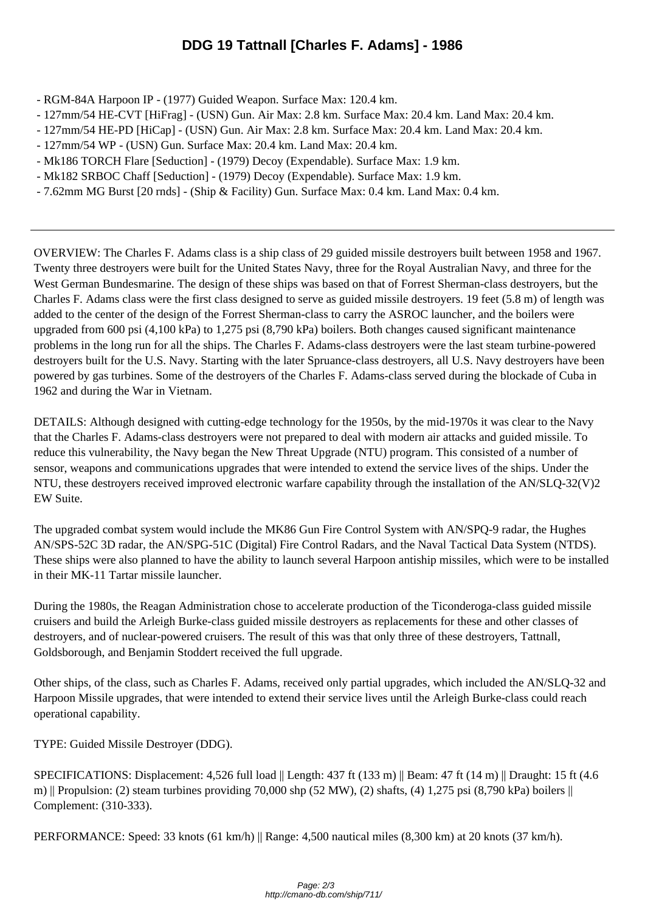- RGM-84A Harpoon IP (19[77\) Guided Weapon. Surface Max: 120.4 km.](http://cmano-db.com/ship/711/)
- 127mm/54 HE-CVT [HiFrag] (USN) Gun. Air Max: 2.8 km. Surface Max: 20.4 km. Land Max: 20.4 km.
- 127mm/54 HE-PD [HiCap] (USN) Gun. Air Max: 2.8 km. Surface Max: 20.4 km. Land Max: 20.4 km.
- 127mm/54 WP (USN) Gun. Surface Max: 20.4 km. Land Max: 20.4 km.
- Mk186 TORCH Flare [Seduction] (1979) Decoy (Expendable). Surface Max: 1.9 km.
- Mk182 SRBOC Chaff [Seduction] (1979) Decoy (Expendable). Surface Max: 1.9 km.
- 7.62mm MG Burst [20 rnds] (Ship & Facility) Gun. Surface Max: 0.4 km. Land Max: 0.4 km.

OVERVIEW: The Charles F. Adams class is a ship class of 29 guided missile destroyers built between 1958 and 1967. Twenty three destroyers were built for the United States Navy, three for the Royal Australian Navy, and three for the West German Bundesmarine. The design of these ships was based on that of Forrest Sherman-class destroyers, but the Charles F. Adams class were the first class designed to serve as guided missile destroyers. 19 feet (5.8 m) of length was added to the center of the design of the Forrest Sherman-class to carry the ASROC launcher, and the boilers were upgraded from 600 psi (4,100 kPa) to 1,275 psi (8,790 kPa) boilers. Both changes caused significant maintenance problems in the long run for all the ships. The Charles F. Adams-class destroyers were the last steam turbine-powered destroyers built for the U.S. Navy. Starting with the later Spruance-class destroyers, all U.S. Navy destroyers have been powered by gas turbines. Some of the destroyers of the Charles F. Adams-class served during the blockade of Cuba in 1962 and during the War in Vietnam.

DETAILS: Although designed with cutting-edge technology for the 1950s, by the mid-1970s it was clear to the Navy that the Charles F. Adams-class destroyers were not prepared to deal with modern air attacks and guided missile. To reduce this vulnerability, the Navy began the New Threat Upgrade (NTU) program. This consisted of a number of sensor, weapons and communications upgrades that were intended to extend the service lives of the ships. Under the NTU, these destroyers received improved electronic warfare capability through the installation of the AN/SLQ-32(V)2 EW Suite.

The upgraded combat system would include the MK86 Gun Fire Control System with AN/SPQ-9 radar, the Hughes AN/SPS-52C 3D radar, the AN/SPG-51C (Digital) Fire Control Radars, and the Naval Tactical Data System (NTDS). These ships were also planned to have the ability to launch several Harpoon antiship missiles, which were to be installed in their MK-11 Tartar missile launcher.

During the 1980s, the Reagan Administration chose to accelerate production of the Ticonderoga-class guided missile cruisers and build the Arleigh Burke-class guided missile destroyers as replacements for these and other classes of destroyers, and of nuclear-powered cruisers. The result of this was that only three of these destroyers, Tattnall, Goldsborough, and Benjamin Stoddert received the full upgrade.

Other ships, of the class, such as Charles F. Adams, received only partial upgrades, which included the AN/SLQ-32 and Harpoon Missile upgrades, that were intended to extend their service lives until the Arleigh Burke-class could reach operational capability.

TYPE: Guided Missile Destroyer (DDG).

SPECIFICATIONS: Displacement: 4,526 full load || Length: 437 ft (133 m) || Beam: 47 ft (14 m) || Draught: 15 ft (4.6 m) || Propulsion: (2) steam turbines providing 70,000 shp (52 MW), (2) shafts, (4) 1,275 psi (8,790 kPa) boilers  $\parallel$ Complement: (310-333).

PERFORMANCE: Speed: 33 knots (61 km/h) || Range: 4,500 nautical miles (8,300 km) at 20 knots (37 km/h).